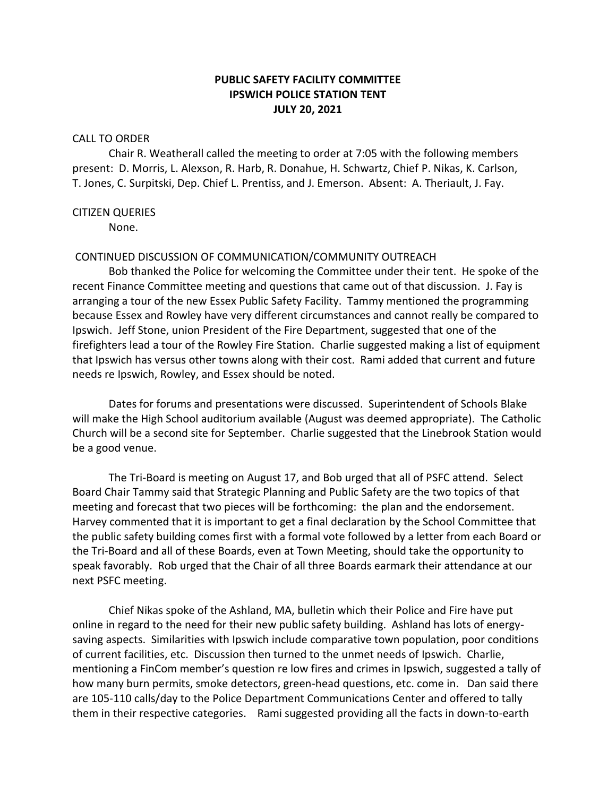# **PUBLIC SAFETY FACILITY COMMITTEE IPSWICH POLICE STATION TENT JULY 20, 2021**

## CALL TO ORDER

Chair R. Weatherall called the meeting to order at 7:05 with the following members present: D. Morris, L. Alexson, R. Harb, R. Donahue, H. Schwartz, Chief P. Nikas, K. Carlson, T. Jones, C. Surpitski, Dep. Chief L. Prentiss, and J. Emerson. Absent: A. Theriault, J. Fay.

### CITIZEN QUERIES

None.

## CONTINUED DISCUSSION OF COMMUNICATION/COMMUNITY OUTREACH

Bob thanked the Police for welcoming the Committee under their tent. He spoke of the recent Finance Committee meeting and questions that came out of that discussion. J. Fay is arranging a tour of the new Essex Public Safety Facility. Tammy mentioned the programming because Essex and Rowley have very different circumstances and cannot really be compared to Ipswich. Jeff Stone, union President of the Fire Department, suggested that one of the firefighters lead a tour of the Rowley Fire Station. Charlie suggested making a list of equipment that Ipswich has versus other towns along with their cost. Rami added that current and future needs re Ipswich, Rowley, and Essex should be noted.

Dates for forums and presentations were discussed. Superintendent of Schools Blake will make the High School auditorium available (August was deemed appropriate). The Catholic Church will be a second site for September. Charlie suggested that the Linebrook Station would be a good venue.

The Tri-Board is meeting on August 17, and Bob urged that all of PSFC attend. Select Board Chair Tammy said that Strategic Planning and Public Safety are the two topics of that meeting and forecast that two pieces will be forthcoming: the plan and the endorsement. Harvey commented that it is important to get a final declaration by the School Committee that the public safety building comes first with a formal vote followed by a letter from each Board or the Tri-Board and all of these Boards, even at Town Meeting, should take the opportunity to speak favorably. Rob urged that the Chair of all three Boards earmark their attendance at our next PSFC meeting.

Chief Nikas spoke of the Ashland, MA, bulletin which their Police and Fire have put online in regard to the need for their new public safety building. Ashland has lots of energysaving aspects. Similarities with Ipswich include comparative town population, poor conditions of current facilities, etc. Discussion then turned to the unmet needs of Ipswich. Charlie, mentioning a FinCom member's question re low fires and crimes in Ipswich, suggested a tally of how many burn permits, smoke detectors, green-head questions, etc. come in. Dan said there are 105-110 calls/day to the Police Department Communications Center and offered to tally them in their respective categories. Rami suggested providing all the facts in down-to-earth